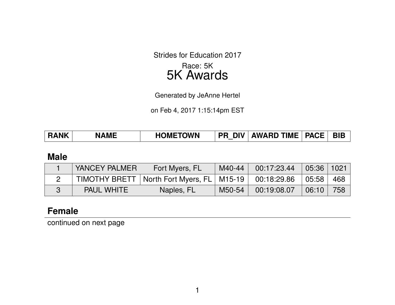Strides for Education 2017 Race: 5K

# 5K Awards

Generated by JeAnne Hertel

on Feb 4, 2017 1:15:14pm EST

| <b>BIB</b><br>  PR DIV   AWARD TIME   PACE  <br><b>HOMETOWN</b><br><b>RANK</b><br><b>NAME</b> |  |
|-----------------------------------------------------------------------------------------------|--|
|-----------------------------------------------------------------------------------------------|--|

#### **Male**

| YANCEY PALMER     | Fort Myers, FL                                | M40-44 | 00:17:23.44 | 05:36 1021 |       |
|-------------------|-----------------------------------------------|--------|-------------|------------|-------|
|                   | TIMOTHY BRETT   North Fort Myers, FL   M15-19 |        | 00:18:29.86 | 05:58      | - 468 |
| <b>PAUL WHITE</b> | Naples, FL                                    | M50-54 | 00:19:08.07 | 06:10      | 758   |

## **Female**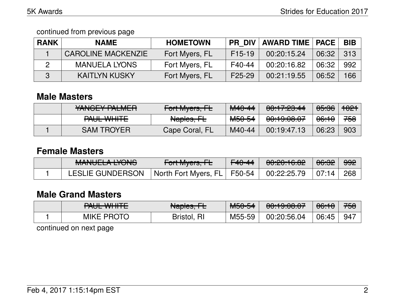| <b>RANK</b> | <b>NAME</b>               | <b>HOMETOWN</b> | PR DIV              | <b>AWARD TIME   PACE</b> |       | <b>BIB</b> |
|-------------|---------------------------|-----------------|---------------------|--------------------------|-------|------------|
|             | <b>CAROLINE MACKENZIE</b> | Fort Myers, FL  | F <sub>15</sub> -19 | 00:20:15.24              | 06:32 | 313        |
|             | <b>MANUELA LYONS</b>      | Fort Myers, FL  | F40-44              | 00:20:16.82              | 06:32 | 992        |
|             | <b>KAITLYN KUSKY</b>      | Fort Myers, FL  | F <sub>25</sub> -29 | 00:21:19.55              | 06:52 | 166        |

#### **Male Masters**

| VANCEV DALMED<br>TAIVULT LALIVILTI         | $\Gamma$ <sub>art</sub> M <sub>uara</sub> $\Gamma$<br>$T$ UT IVIYUI $3, T$ | $\begin{array}{c} \n \textbf{M} & \textbf{A} & \textbf{A} & \textbf{A} & \textbf{A} & \textbf{A} & \textbf{A} & \textbf{A} & \textbf{A} & \textbf{A} & \textbf{A} & \textbf{A} & \textbf{A} & \textbf{A} & \textbf{A} & \textbf{A} & \textbf{A} & \textbf{A} & \textbf{A} & \textbf{A} & \textbf{A} & \textbf{A} & \textbf{A} & \textbf{A} & \textbf{A} & \textbf{A} & \textbf{A} & \textbf{A} & \textbf{A} & \textbf{A} & \$<br><del>MTV-44</del> | <u>AA AA AA AA </u><br><del>00.17.20.44</del> | $\Omega$<br>ᡡᡂ   | <del>1021</del> |
|--------------------------------------------|----------------------------------------------------------------------------|----------------------------------------------------------------------------------------------------------------------------------------------------------------------------------------------------------------------------------------------------------------------------------------------------------------------------------------------------------------------------------------------------------------------------------------------------|-----------------------------------------------|------------------|-----------------|
| <u>DALIL WILLTE</u><br><u>I AUL WITH E</u> | Naples, FL                                                                 | <del>M50-54</del>                                                                                                                                                                                                                                                                                                                                                                                                                                  | 0.100007<br><del>uu.19.00.07</del>            | <del>06:10</del> | 758             |
| <b>SAM TROYER</b>                          | Cape Coral, FL                                                             | M40-44                                                                                                                                                                                                                                                                                                                                                                                                                                             | 00:19:47.13                                   | 06:23            | 903             |

### **Female Masters**

| MANILIEL A IVANIO<br>MANULLA LIVIU | $\Gamma$ <sub>o</sub> $\mu$ $\Lambda$ $\mu$<br>$T$ UITIVIYUIS, ITE | $F40-44$ | 0.00.100<br>0,0,0,0,0,0 | <del>06:32</del> | 992 |
|------------------------------------|--------------------------------------------------------------------|----------|-------------------------|------------------|-----|
| <b>LESLIE GUNDERSON</b>            | North Fort Myers, FL F50-54                                        |          | $00:22:25.79$ 07:14     |                  | 268 |

### **Male Grand Masters**

| DALIL WILLET      | Aloplas L             | MENFA  | 0.100007               | AC.4C                                | <u> 750</u> |
|-------------------|-----------------------|--------|------------------------|--------------------------------------|-------------|
| TAUL WITH L       | <del>Napics, TE</del> | ᠍ᠦᡂᠣ   | <del>וט.טט.כז.טט</del> | $\overline{\mathtt{UU}.\mathtt{IU}}$ | 7 JU        |
| <b>MIKE PROTO</b> | <b>RI</b><br>Bristol, | M55-59 | 00:20:56.04            | 06:45                                |             |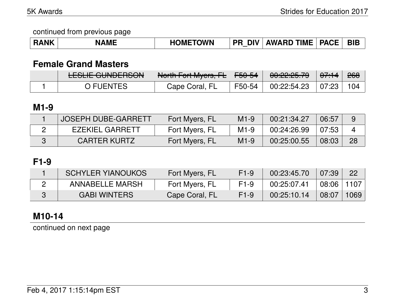| <b>RANK</b> | <b>NAME</b> | <b>HOMETOWN</b> | <b>DIV</b><br><b>PR</b> | <b>AWARD TIME   PACE  </b> |  | <b>BIE</b> |
|-------------|-------------|-----------------|-------------------------|----------------------------|--|------------|
|-------------|-------------|-----------------|-------------------------|----------------------------|--|------------|

## **Female Grand Masters**

| <b>LLJLIL UUIVLLIJUUV</b> | North Fort Muore FL<br>T | $\parallel$ <del>F50-54</del> | <u>AA.QQ.QE 70</u><br>$\overline{UU}.LL.LJ. IJ$ | $\theta$ <del>7:14</del> | <del>268</del> |
|---------------------------|--------------------------|-------------------------------|-------------------------------------------------|--------------------------|----------------|
| ጋ FUENTES                 | Cape Coral, FL           | F50-54                        | 00:22:54.23                                     | 07:23                    |                |

## **M1-9**

| <b>JOSEPH DUBE-GARRETT</b> | Fort Myers, FL | $M1-9$ | 00:21:34.27 | 06:57 | 9  |
|----------------------------|----------------|--------|-------------|-------|----|
| <b>EZEKIEL GARRETT</b>     | Fort Myers, FL | $M1-9$ | 00:24:26.99 | 07:53 |    |
| <b>CARTER KURTZ</b>        | Fort Myers, FL | $M1-9$ | 00:25:00.55 | 08:03 | 28 |

## **F1-9**

| <b>SCHYLER YIANOUKOS</b> | Fort Myers, FL | $F1-9$           | 00:23:45.70 | 07:39 | 22 <sup>7</sup> |
|--------------------------|----------------|------------------|-------------|-------|-----------------|
| ANNABELLE MARSH          | Fort Myers, FL | F <sub>1-9</sub> | 00:25:07.41 | 08:06 | 1107            |
| <b>GABI WINTERS</b>      | Cape Coral, FL | $F1-9$           | 00:25:10.14 | 08:07 | 1069            |

## **M10-14**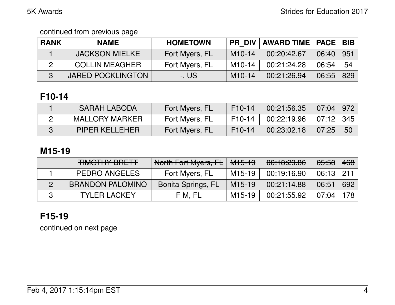| <b>RANK</b> | <b>NAME</b>              | <b>HOMETOWN</b> | <b>PR DIV</b> | <b>AWARD TIME   PACE   BIB  </b> |       |     |
|-------------|--------------------------|-----------------|---------------|----------------------------------|-------|-----|
|             | <b>JACKSON MIELKE</b>    | Fort Myers, FL  | $M10-14$      | 00:20:42.67                      | 06:40 | 951 |
|             | <b>COLLIN MEAGHER</b>    | Fort Myers, FL  | $M10-14$      | 00:21:24.28                      | 06:54 | 54  |
|             | <b>JARED POCKLINGTON</b> | -, US           | $M10-14$      | 00:21:26.94                      | 06:55 | 829 |

## **F10-14**

| SARAH LABODA          | Fort Myers, FL | $F10-14$ | 00:21:56.35 | $07:04$   972 |     |
|-----------------------|----------------|----------|-------------|---------------|-----|
| <b>MALLORY MARKER</b> | Fort Myers, FL | $F10-14$ | 00:22:19.96 | 07:12   345   |     |
| <b>PIPER KELLEHER</b> | Fort Myers, FL | $F10-14$ | 00:23:02.18 | 07:25         | -50 |

## **M15-19**

| <b>TIMOTIJV DDETT</b><br>THUU TIITI DITETT | North Fort Myers, FL      | <del>M15-19</del>   | 00:10:29.86 | <del>05:58</del> | 468 |
|--------------------------------------------|---------------------------|---------------------|-------------|------------------|-----|
| <b>PEDRO ANGELES</b>                       | Fort Myers, FL            | M15-19              | 00:19:16.90 | $06:13$   211    |     |
| <b>BRANDON PALOMINO</b>                    | <b>Bonita Springs, FL</b> | M <sub>15</sub> -19 | 00:21:14.88 | 06:51            | 692 |
| <b>TYLER LACKEY</b>                        | F M. FL                   | M15-19              | 00:21:55.92 | 07:04            | 178 |

## **F15-19**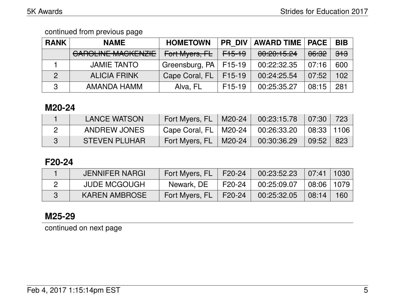| <b>RANK</b>    | <b>NAME</b>                                                | <b>HOMETOWN</b> | PR DIV            | <b>AWARD TIME   PACE</b>         |                  | <b>BIB</b>     |
|----------------|------------------------------------------------------------|-----------------|-------------------|----------------------------------|------------------|----------------|
|                | <u>CADOLINIE MACIZENIZIE</u><br><b>UAITULINE MAUNENAIE</b> | Fort Myers, FL  | <del>F15-19</del> | 0.00.15.04<br><b>00.40.10.47</b> | <del>06:32</del> | <del>313</del> |
|                | <b>JAMIE TANTO</b>                                         | Greensburg, PA  | F15-19            | 00:22:32.35                      | 07:16            | 600            |
| $\overline{2}$ | <b>ALICIA FRINK</b>                                        | Cape Coral, FL  | $F15-19$          | 00:24:25.54                      | 07:52            | 102            |
| 3              | AMANDA HAMM                                                | Alva, FL        | $F15-19$          | 00:25:35.27                      | 08:15            | 281            |

### **M20-24**

| <b>LANCE WATSON</b>  | Fort Myers, FL   M20-24   00:23:15.78   07:30 |                                                        |           | 723 |
|----------------------|-----------------------------------------------|--------------------------------------------------------|-----------|-----|
| ANDREW JONES         | Cape Coral, $FL$   M20-24                     | $\vert$ 00:26:33.20 $\vert$ 08:33 $\vert$ 1106 $\vert$ |           |     |
| <b>STEVEN PLUHAR</b> | Fort Myers, $FL$   M20-24                     | 00:30:36.29                                            | 09:52 823 |     |

## **F20-24**

| <b>JENNIFER NARGI</b> | Fort Myers, FL | $\mid$ F20-24 | 00:23:52.23 | 07:41   1030 |                  |
|-----------------------|----------------|---------------|-------------|--------------|------------------|
| <b>JUDE MCGOUGH</b>   | Newark, DE     | F20-24        | 00:25:09.07 | 08:06   1079 |                  |
| <b>KAREN AMBROSE</b>  | Fort Myers, FL | F20-24        | 00:25:32.05 | 08:14        | 160 <sub>1</sub> |

## **M25-29**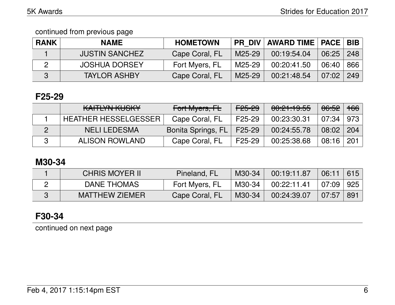| <b>RANK</b> | <b>NAME</b>           | <b>HOMETOWN</b> |        | <b>PR DIV   AWARD TIME   PACE   BIB  </b> |               |     |
|-------------|-----------------------|-----------------|--------|-------------------------------------------|---------------|-----|
|             | <b>JUSTIN SANCHEZ</b> | Cape Coral, FL  | M25-29 | 00:19:54.04                               | $06:25$   248 |     |
|             | <b>JOSHUA DORSEY</b>  | Fort Myers, FL  | M25-29 | 00:20:41.50                               | 06:40         | 866 |
|             | <b>TAYLOR ASHBY</b>   | Cape Coral, FL  | M25-29 | 00:21:48.54                               | 07:02         | 249 |

## **F25-29**

| <u>VAITIVALIZHOIZV</u><br>IVALLELIN INVOINT | Fort Myers, FL     | F <sub>25-29</sub>  | 00:21:19.55 | <del>06:52</del> | <del>166</del>   |
|---------------------------------------------|--------------------|---------------------|-------------|------------------|------------------|
| <b>HEATHER HESSELGESSER</b>                 | Cape Coral, FL     | F25-29              | 00:23:30.31 | $07:34 \mid 973$ |                  |
| <b>NELI LEDESMA</b>                         | Bonita Springs, FL | $\mid$ F25-29       | 00:24:55.78 | 08:02            | 204              |
| <b>ALISON ROWLAND</b>                       | Cape Coral, FL     | F <sub>25</sub> -29 | 00:25:38.68 | 08:16            | $\overline{201}$ |

## **M30-34**

| <b>CHRIS MOYER II</b> | Pineland, FL   | M30-34 | 00:19:11.87 | 06:11     | 615  |
|-----------------------|----------------|--------|-------------|-----------|------|
| DANE THOMAS           | Fort Myers, FL | M30-34 | 00:22:11.41 | 07:09 925 |      |
| <b>MATTHEW ZIEMER</b> | Cape Coral, FL | M30-34 | 00:24:39.07 | 07:57     | -891 |

## **F30-34**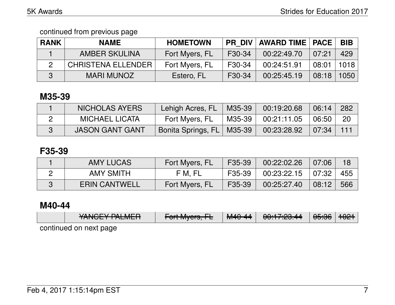| <b>RANK</b> | <b>NAME</b>               | <b>HOMETOWN</b> | <b>PR DIV</b> | <b>AWARD TIME   PACE</b> |       | <b>BIB</b> |
|-------------|---------------------------|-----------------|---------------|--------------------------|-------|------------|
|             | <b>AMBER SKULINA</b>      | Fort Myers, FL  | F30-34        | 00:22:49.70              | 07:21 | 429        |
|             | <b>CHRISTENA ELLENDER</b> | Fort Myers, FL  | F30-34        | 00:24:51.91              | 08:01 | 1018       |
|             | MARI MUNOZ                | Estero, FL      | F30-34        | 00:25:45.19              | 08:18 | 1050       |

## **M35-39**

| NICHOLAS AYERS         | Lehigh Acres, FL   M35-39   |        | 00:19:20.68 | 06:14              | 282 |
|------------------------|-----------------------------|--------|-------------|--------------------|-----|
| <b>MICHAEL LICATA</b>  | Fort Myers, FL              | M35-39 | 00:21:11.05 | $\overline{06:50}$ | -20 |
| <b>JASON GANT GANT</b> | Bonita Springs, FL   M35-39 |        | 00:23:28.92 | $\parallel$ 07:34  | 111 |

## **F35-39**

| AMY LUCAS            | Fort Myers, FL | F35-39 | 00:22:02.26 | 07:06 |     |
|----------------------|----------------|--------|-------------|-------|-----|
| AMY SMITH            | F M, FL        | F35-39 | 00:23:22.15 | 07:32 | 455 |
| <b>ERIN CANTWELL</b> | Fort Myers, FL | F35-39 | 00:25:27.40 | 08:12 | 566 |

## **M40-44**

|                        | VANIAEV DAL MED<br>TAIVULT I ALIVILTI | $L_{\text{out}}$ $M_{\text{max}}$ $\Gamma$<br>$T$ UTTWIYCIS, $T$ E | $\begin{array}{c} \n \textbf{MAO} & \textbf{AA} \n \end{array}$<br>TVI <del>T</del> U-44 | 0.17.00A<br>00.TT .CJ. <del>TT</del> | <del>05:36</del> ∣ <del>1021</del> |  |
|------------------------|---------------------------------------|--------------------------------------------------------------------|------------------------------------------------------------------------------------------|--------------------------------------|------------------------------------|--|
| continued on next page |                                       |                                                                    |                                                                                          |                                      |                                    |  |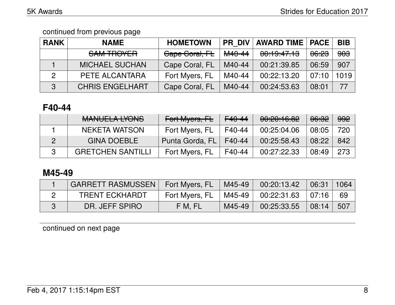| <b>RANK</b> | <b>NAME</b>            | <b>HOMETOWN</b> | <b>PR DIV</b>     | <b>AWARD TIME   PACE</b> |                  | <b>BIB</b>     |
|-------------|------------------------|-----------------|-------------------|--------------------------|------------------|----------------|
|             | SAM TROYER             | Cape Coral, FL  | <del>M40-44</del> | 00:19:47.13              | <del>06:23</del> | <del>903</del> |
|             | <b>MICHAEL SUCHAN</b>  | Cape Coral, FL  | M40-44            | 00:21:39.85              | 06:59            | 907            |
|             | PETE ALCANTARA         | Fort Myers, FL  | M40-44            | 00:22:13.20              | 07:10            | 1019           |
| 3           | <b>CHRIS ENGELHART</b> | Cape Coral, FL  | M40-44            | 00:24:53.63              | 08:01            | 77             |

## **F40-44**

| MANILIEL A IVANIO<br>MANULLA LIUNO | Fort Myers, FL  | F <sub>40</sub> -44 | 00:20:16.82 | 06:32 | <del>992</del> |
|------------------------------------|-----------------|---------------------|-------------|-------|----------------|
| NEKETA WATSON                      | Fort Myers, FL  | F40-44              | 00:25:04.06 | 08:05 | 720            |
| <b>GINA DOEBLE</b>                 | Punta Gorda, FL | F40-44              | 00:25:58.43 | 08:22 | 842            |
| <b>GRETCHEN SANTILLI</b>           | Fort Myers, FL  | F40-44              | 00:27:22.33 | 08:49 | 273            |

## **M45-49**

| <b>GARRETT RASMUSSEN</b> | Fort Myers, FL | M45-49 | 00:20:13.42         | 06:31                         | $\parallel$ 1064 |
|--------------------------|----------------|--------|---------------------|-------------------------------|------------------|
| <b>TRENT ECKHARDT</b>    | Fort Myers, FL | M45-49 | $00:22:31.63$ 07:16 |                               | 69               |
| DR. JEFF SPIRO           | F M, FL        | M45-49 | 00:25:33.55         | $\parallel$ 08:14 $\parallel$ | 507              |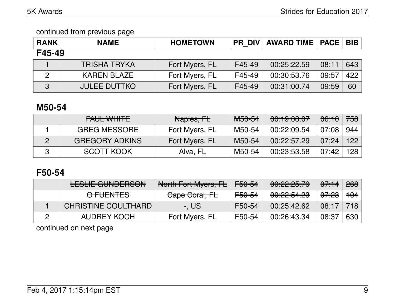| <b>RANK</b> | <b>NAME</b>         | <b>HOMETOWN</b> | PR DIV | AWARD TIME   PACE   BIB |       |     |
|-------------|---------------------|-----------------|--------|-------------------------|-------|-----|
| F45-49      |                     |                 |        |                         |       |     |
|             | <b>TRISHA TRYKA</b> | Fort Myers, FL  | F45-49 | 00:25:22.59             | 08:11 | 643 |
| 2           | <b>KAREN BLAZE</b>  | Fort Myers, FL  | F45-49 | 00:30:53.76             | 09:57 | 422 |
| 3           | <b>JULEE DUTTKO</b> | Fort Myers, FL  | F45-49 | 00:31:00.74             | 09:59 | 60  |

### **M50-54**

| PAUL WHITE            | Naples, FL     | <del>M50-54</del> | 00:19:00.07 | <del>06:10</del> | <del>758</del> |
|-----------------------|----------------|-------------------|-------------|------------------|----------------|
| <b>GREG MESSORE</b>   | Fort Myers, FL | M50-54            | 00:22:09.54 | 07:08            | 944            |
| <b>GREGORY ADKINS</b> | Fort Myers, FL | M50-54            | 00:22:57.29 | 07:24            | 122            |
| <b>SCOTT KOOK</b>     | Alva, FL       | M50-54            | 00:23:53.58 | 07:42            | 128            |

### **F50-54**

| <u>FOLIE ALINIDEDOAN</u><br><b>LLOLIL UUINDLITOUN</b> | North Fort Myers, FL | F50-54            | 00:22:25.79                                   | $0.7 + 4$        | <del>268</del> |
|-------------------------------------------------------|----------------------|-------------------|-----------------------------------------------|------------------|----------------|
| <del>O FUENTES</del>                                  | Cape Coral, FL       | <del>F50-54</del> | <u> AA.AA.E 4 AA</u><br><u>UU. ZZ. JT. ZJ</u> | <del>07:23</del> | <del>104</del> |
| <b>CHRISTINE COULTHARD</b>                            | -. US                | F50-54            | 00:25:42.62                                   | 08:17            | 718            |
| AUDREY KOCH                                           | Fort Myers, FL       | F50-54            | 00:26:43.34                                   | 08:37            | 630            |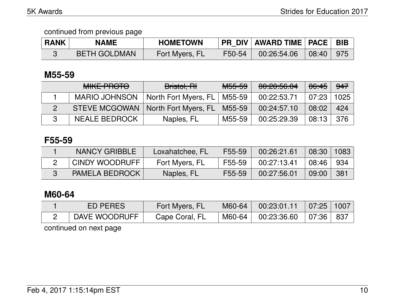| <b>RANK</b> | <b>NAME</b>         | <b>HOMETOWN</b> |        | PR DIV AWARD TIME PACE BIB |  |
|-------------|---------------------|-----------------|--------|----------------------------|--|
|             | <b>BETH GOLDMAN</b> | Fort Myers, FL  | F50-54 | $00:26:54.06$ 08:40 975    |  |

### **M55-59**

|   | <b>MIKE PROTO</b>    | Bristol, RH          | <del>M55-59</del> | 00:20:56.04 | 06:45 | 947  |
|---|----------------------|----------------------|-------------------|-------------|-------|------|
|   | <b>MARIO JOHNSON</b> | North Fort Myers, FL | M55-59            | 00:22:53.71 | 07:23 | 1025 |
|   | <b>STEVE MCGOWAN</b> | North Fort Myers, FL | M55-59            | 00:24:57.10 | 08:02 | 424  |
| 3 | <b>NEALE BEDROCK</b> | Naples, FL           | M55-59            | 00:25:29.39 | 08:13 | 376  |

#### **F55-59**

| NANCY GRIBBLE         | Loxahatchee, FL | F55-59 | 00:26:21.61 | 08:30     | 1083 |
|-----------------------|-----------------|--------|-------------|-----------|------|
| <b>CINDY WOODRUFF</b> | Fort Myers, FL  | F55-59 | 00:27:13.41 | l 08:46 l | -934 |
| <b>PAMELA BEDROCK</b> | Naples, FL      | F55-59 | 00:27:56.01 | 09:00     | 381  |

## **M60-64**

| ED PERES      | Fort Myers, FL | M60-64 | 00:23:01.11                                                                              | $\mid 07:25 \mid 1007$ |  |
|---------------|----------------|--------|------------------------------------------------------------------------------------------|------------------------|--|
| DAVE WOODRUFF | Cape Coral, FL | M60-64 | $\begin{array}{ c c c c c c c c } \hline 00:23:36.60 & 07:36 & 837 \ \hline \end{array}$ |                        |  |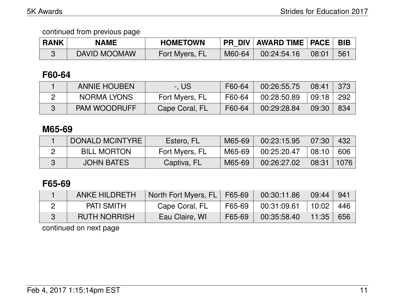| <b>RANK</b> | <b>NAME</b>  | <b>HOMETOWN</b> | <b>PR DIV</b> | <b>AWARD TIME   PACE  </b> |               | <b>BIB</b> |
|-------------|--------------|-----------------|---------------|----------------------------|---------------|------------|
|             | DAVID MOOMAW | Fort Myers, FL  | M60-64        | 00:24:54.16                | $\vert$ 08:01 | 561        |

## **F60-64**

| <b>ANNIE HOUBEN</b> | -. US          | F60-64 | 00:26:55.75 | 08:41   | 373 |
|---------------------|----------------|--------|-------------|---------|-----|
| NORMA LYONS         | Fort Myers, FL | F60-64 | 00:28:50.89 | ∣ 09:18 | 292 |
| <b>PAM WOODRUFF</b> | Cape Coral, FL | F60-64 | 00:29:28.84 | 09:30   | 834 |

## **M65-69**

| <b>DONALD MCINTYRE</b> | Estero, FL     | M65-69 | 00:23:15.95 | 07:30 | 432  |
|------------------------|----------------|--------|-------------|-------|------|
| <b>BILL MORTON</b>     | Fort Myers, FL | M65-69 | 00:25:20.47 | 08:10 | 606  |
| <b>JOHN BATES</b>      | Captiva, FL    | M65-69 | 00:26:27.02 | 08:31 | 1076 |

## **F65-69**

| <b>ANKE HILDRETH</b> | North Fort Myers, FL   F65-69 |        | 00:30:11.86 | 09:44 | 941 |
|----------------------|-------------------------------|--------|-------------|-------|-----|
| <b>PATI SMITH</b>    | Cape Coral, FL                | F65-69 | 00:31:09.61 | 10:02 | 446 |
| <b>RUTH NORRISH</b>  | Eau Claire, WI                | F65-69 | 00:35:58.40 | 11:35 | 656 |